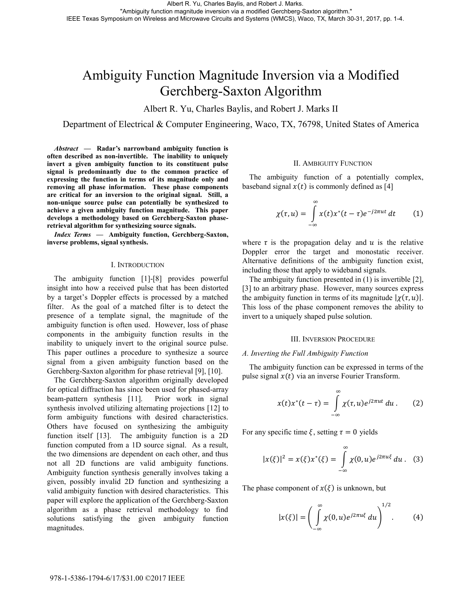# Ambiguity Function Magnitude Inversion via a Modified Gerchberg-Saxton Algorithm

Albert R. Yu, Charles Baylis, and Robert J. Marks II

Department of Electrical & Computer Engineering, Waco, TX, 76798, United States of America

*Abstract* **— Radar's narrowband ambiguity function is often described as non-invertible. The inability to uniquely invert a given ambiguity function to its constituent pulse signal is predominantly due to the common practice of expressing the function in terms of its magnitude only and removing all phase information. These phase components are critical for an inversion to the original signal. Still, a non-unique source pulse can potentially be synthesized to achieve a given ambiguity function magnitude. This paper develops a methodology based on Gerchberg-Saxton phaseretrieval algorithm for synthesizing source signals.** 

*Index Terms* **— Ambiguity function, Gerchberg-Saxton, inverse problems, signal synthesis.**

### I. INTRODUCTION

The ambiguity function [1]-[8] provides powerful insight into how a received pulse that has been distorted by a target's Doppler effects is processed by a matched filter. As the goal of a matched filter is to detect the presence of a template signal, the magnitude of the ambiguity function is often used. However, loss of phase components in the ambiguity function results in the inability to uniquely invert to the original source pulse. This paper outlines a procedure to synthesize a source signal from a given ambiguity function based on the Gerchberg-Saxton algorithm for phase retrieval [9], [10].

The Gerchberg-Saxton algorithm originally developed for optical diffraction has since been used for phased-array beam-pattern synthesis [11]. Prior work in signal synthesis involved utilizing alternating projections [12] to form ambiguity functions with desired characteristics. Others have focused on synthesizing the ambiguity function itself [13]. The ambiguity function is a 2D function computed from a 1D source signal. As a result, the two dimensions are dependent on each other, and thus not all 2D functions are valid ambiguity functions. Ambiguity function synthesis generally involves taking a given, possibly invalid 2D function and synthesizing a valid ambiguity function with desired characteristics. This paper will explore the application of the Gerchberg-Saxton algorithm as a phase retrieval methodology to find solutions satisfying the given ambiguity function magnitudes.

### II. AMBIGUITY FUNCTION

The ambiguity function of a potentially complex, baseband signal  $x(t)$  is commonly defined as [4]

$$
\chi(\tau, u) = \int_{-\infty}^{\infty} x(t) x^*(t - \tau) e^{-j2\pi ut} dt \qquad (1)
$$

where  $\tau$  is the propagation delay and  $u$  is the relative Doppler error the target and monostatic receiver. Alternative definitions of the ambiguity function exist, including those that apply to wideband signals.

The ambiguity function presented in (1) is invertible [2], [3] to an arbitrary phase. However, many sources express the ambiguity function in terms of its magnitude  $|\chi(\tau, u)|$ . This loss of the phase component removes the ability to invert to a uniquely shaped pulse solution.

### III. INVERSION PROCEDURE

## *A. Inverting the Full Ambiguity Function*

The ambiguity function can be expressed in terms of the pulse signal  $x(t)$  via an inverse Fourier Transform.

$$
x(t)x^{*}(t-\tau) = \int_{-\infty}^{\infty} \chi(\tau, u)e^{j2\pi ut} du.
$$
 (2)

For any specific time  $\xi$ , setting  $\tau=0$  yields

$$
|x(\xi)|^2 = x(\xi)x^*(\xi) = \int_{-\infty}^{\infty} \chi(0, u)e^{j2\pi u\xi} du.
$$
 (3)

The phase component of  $x(\xi)$  is unknown, but

$$
|x(\xi)| = \left(\int_{-\infty}^{\infty} \chi(0, u)e^{j2\pi u\xi} du\right)^{1/2}.
$$
 (4)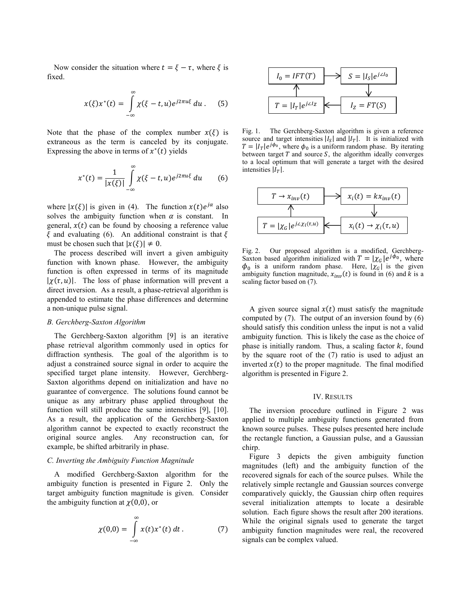Now consider the situation where  $t = \xi - \tau$ , where  $\xi$  is fixed.

$$
x(\xi)x^*(t) = \int_{-\infty}^{\infty} \chi(\xi - t, u)e^{j2\pi u\xi} du.
$$
 (5)

Note that the phase of the complex number  $x(\xi)$  is extraneous as the term is canceled by its conjugate. Expressing the above in terms of  $x^*(t)$  yields

$$
x^*(t) = \frac{1}{|x(\xi)|} \int\limits_{-\infty}^{\infty} \chi(\xi - t, u) e^{j2\pi u\xi} du \qquad (6)
$$

where  $|x(\xi)|$  is given in (4). The function  $x(t)e^{j\alpha}$  also solves the ambiguity function when  $\alpha$  is constant. In general,  $x(t)$  can be found by choosing a reference value  $\xi$  and evaluating (6). An additional constraint is that  $\xi$ must be chosen such that  $|x(\xi)| \neq 0$ .

The process described will invert a given ambiguity function with known phase. However, the ambiguity function is often expressed in terms of its magnitude  $|\chi(\tau, u)|$ . The loss of phase information will prevent a direct inversion. As a result, a phase-retrieval algorithm is appended to estimate the phase differences and determine a non-unique pulse signal.

## *B. Gerchberg-Saxton Algorithm*

The Gerchberg-Saxton algorithm [9] is an iterative phase retrieval algorithm commonly used in optics for diffraction synthesis. The goal of the algorithm is to adjust a constrained source signal in order to acquire the specified target plane intensity. However, Gerchberg-Saxton algorithms depend on initialization and have no guarantee of convergence. The solutions found cannot be unique as any arbitrary phase applied throughout the function will still produce the same intensities [9], [10]. As a result, the application of the Gerchberg-Saxton algorithm cannot be expected to exactly reconstruct the original source angles. Any reconstruction can, for example, be shifted arbitrarily in phase.

#### *C. Inverting the Ambiguity Function Magnitude*

A modified Gerchberg-Saxton algorithm for the ambiguity function is presented in Figure 2. Only the target ambiguity function magnitude is given. Consider the ambiguity function at  $\chi(0,0)$ , or

$$
\chi(0,0) = \int_{-\infty}^{\infty} x(t) x^*(t) dt.
$$
 (7)



Fig. 1. The Gerchberg-Saxton algorithm is given a reference source and target intensities  $|I_{S}|$  and  $|I_{T}|$ . It is initialized with  $T = |I_T|e^{j\phi_0}$ , where  $\phi_0$  is a uniform random phase. By iterating between target  $T$  and source  $S$ , the algorithm ideally converges to a local optimum that will generate a target with the desired intensities  $|I<sub>\tau</sub>|$ .



Fig. 2. Our proposed algorithm is a modified, Gerchberg-Saxton based algorithm initialized with  $T = |\chi_G|e^{j\phi_0}$ , where  $\phi_0$  is a uniform random phase. Here,  $|\chi_G|$  is the given ambiguity function magnitude,  $x_{inv}(t)$  is found in (6) and k is a scaling factor based on (7).

A given source signal  $x(t)$  must satisfy the magnitude computed by  $(7)$ . The output of an inversion found by  $(6)$ should satisfy this condition unless the input is not a valid ambiguity function. This is likely the case as the choice of phase is initially random. Thus, a scaling factor  $k$ , found by the square root of the (7) ratio is used to adjust an inverted  $x(t)$  to the proper magnitude. The final modified algorithm is presented in Figure 2.

#### IV. RESULTS

The inversion procedure outlined in Figure 2 was applied to multiple ambiguity functions generated from known source pulses. These pulses presented here include the rectangle function, a Gaussian pulse, and a Gaussian chirp.

Figure 3 depicts the given ambiguity function magnitudes (left) and the ambiguity function of the recovered signals for each of the source pulses. While the relatively simple rectangle and Gaussian sources converge comparatively quickly, the Gaussian chirp often requires several initialization attempts to locate a desirable solution. Each figure shows the result after 200 iterations. While the original signals used to generate the target ambiguity function magnitudes were real, the recovered signals can be complex valued.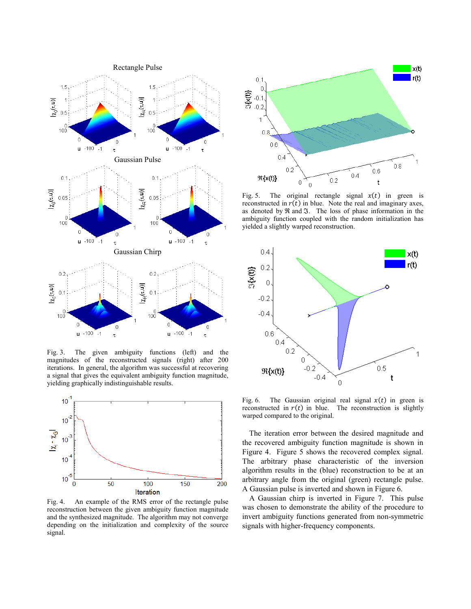

Fig. 3. The given ambiguity functions (left) and the magnitudes of the reconstructed signals (right) after 200 iterations. In general, the algorithm was successful at recovering a signal that gives the equivalent ambiguity function magnitude, yielding graphically indistinguishable results.



Fig. 4. An example of the RMS error of the rectangle pulse reconstruction between the given ambiguity function magnitude and the synthesized magnitude. The algorithm may not converge depending on the initialization and complexity of the source signal.



Fig. 5. The original rectangle signal  $x(t)$  in green is reconstructed in  $r(t)$  in blue. Note the real and imaginary axes, as denoted by ℜ and ℑ. The loss of phase information in the ambiguity function coupled with the random initialization has yielded a slightly warped reconstruction.



Fig. 6. The Gaussian original real signal  $x(t)$  in green is reconstructed in  $r(t)$  in blue. The reconstruction is slightly warped compared to the original.

The iteration error between the desired magnitude and the recovered ambiguity function magnitude is shown in Figure 4. Figure 5 shows the recovered complex signal. The arbitrary phase characteristic of the inversion algorithm results in the (blue) reconstruction to be at an arbitrary angle from the original (green) rectangle pulse. A Gaussian pulse is inverted and shown in Figure 6.

A Gaussian chirp is inverted in Figure 7. This pulse was chosen to demonstrate the ability of the procedure to invert ambiguity functions generated from non-symmetric signals with higher-frequency components.